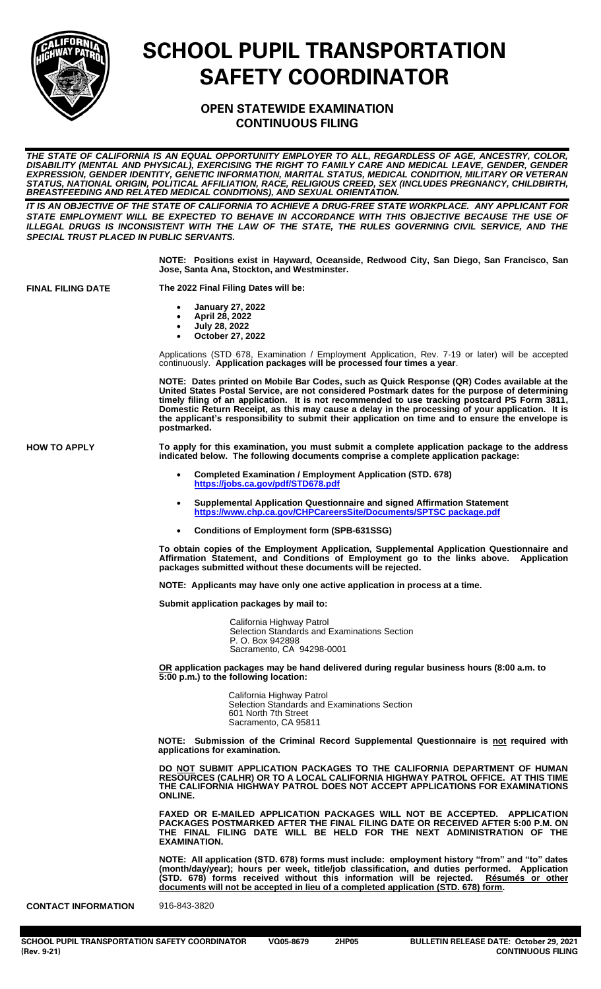

## **SCHOOL PUPIL TRANSPORTATION SAFETY COORDINATOR**

## **OPEN STATEWIDE EXAMINATION CONTINUOUS FILING**

*THE STATE OF CALIFORNIA IS AN EQUAL OPPORTUNITY EMPLOYER TO ALL, REGARDLESS OF AGE, ANCESTRY, COLOR, DISABILITY (MENTAL AND PHYSICAL), EXERCISING THE RIGHT TO FAMILY CARE AND MEDICAL LEAVE, GENDER, GENDER EXPRESSION, GENDER IDENTITY, GENETIC INFORMATION, MARITAL STATUS, MEDICAL CONDITION, MILITARY OR VETERAN STATUS, NATIONAL ORIGIN, POLITICAL AFFILIATION, RACE, RELIGIOUS CREED, SEX (INCLUDES PREGNANCY, CHILDBIRTH, BREASTFEEDING AND RELATED MEDICAL CONDITIONS), AND SEXUAL ORIENTATION.*

*IT IS AN OBJECTIVE OF THE STATE OF CALIFORNIA TO ACHIEVE A DRUG-FREE STATE WORKPLACE. ANY APPLICANT FOR STATE EMPLOYMENT WILL BE EXPECTED TO BEHAVE IN ACCORDANCE WITH THIS OBJECTIVE BECAUSE THE USE OF ILLEGAL DRUGS IS INCONSISTENT WITH THE LAW OF THE STATE, THE RULES GOVERNING CIVIL SERVICE, AND THE SPECIAL TRUST PLACED IN PUBLIC SERVANTS.*

> **NOTE: Positions exist in Hayward, Oceanside, Redwood City, San Diego, San Francisco, San Jose, Santa Ana, Stockton, and Westminster.**

**FINAL FILING DATE The 2022 Final Filing Dates will be:**

- **January 27, 2022**
- **April 28, 2022**
- **July 28, 2022**
- **October 27, 2022**

Applications (STD 678, Examination / Employment Application, Rev. 7-19 or later) will be accepted continuously. **Application packages will be processed four times a year**.

**NOTE: Dates printed on Mobile Bar Codes, such as Quick Response (QR) Codes available at the United States Postal Service, are not considered Postmark dates for the purpose of determining timely filing of an application. It is not recommended to use tracking postcard PS Form 3811, Domestic Return Receipt, as this may cause a delay in the processing of your application. It is the applicant's responsibility to submit their application on time and to ensure the envelope is postmarked.**

**HOW TO APPLY To apply for this examination, you must submit a complete application package to the address indicated below. The following documents comprise a complete application package:**

- **Completed Examination / Employment Application (STD. 678) <https://jobs.ca.gov/pdf/STD678.pdf>**
- **Supplemental Application Questionnaire and signed Affirmation Statement** https://www.chp.ca.gov/CHPCareersSite/Documents/SPTSC package.pd
- **Conditions of Employment form (SPB-631SSG)**

**To obtain copies of the Employment Application, Supplemental Application Questionnaire and Affirmation Statement, and Conditions of Employment go to the links above. Application packages submitted without these documents will be rejected.** 

**NOTE: Applicants may have only one active application in process at a time.** 

**Submit application packages by mail to:**

California Highway Patrol Selection Standards and Examinations Section P. O. Box 942898 Sacramento, CA 94298-0001

**OR application packages may be hand delivered during regular business hours (8:00 a.m. to 5:00 p.m.) to the following location:**

> California Highway Patrol Selection Standards and Examinations Section 601 North 7th Street Sacramento, CA 95811

**NOTE: Submission of the Criminal Record Supplemental Questionnaire is not required with applications for examination.**

**DO NOT SUBMIT APPLICATION PACKAGES TO THE CALIFORNIA DEPARTMENT OF HUMAN RESOURCES (CALHR) OR TO A LOCAL CALIFORNIA HIGHWAY PATROL OFFICE. AT THIS TIME THE CALIFORNIA HIGHWAY PATROL DOES NOT ACCEPT APPLICATIONS FOR EXAMINATIONS ONLINE.** 

**FAXED OR E-MAILED APPLICATION PACKAGES WILL NOT BE ACCEPTED. APPLICATION PACKAGES POSTMARKED AFTER THE FINAL FILING DATE OR RECEIVED AFTER 5:00 P.M. ON THE FINAL FILING DATE WILL BE HELD FOR THE NEXT ADMINISTRATION OF THE EXAMINATION.**

**NOTE: All application (STD. 678) forms must include: employment history "from" and "to" dates (month/day/year); hours per week, title/job classification, and duties performed. Application (STD. 678) forms received without this information will be rejected. Résumés or other documents will not be accepted in lieu of a completed application (STD. 678) form.**

**CONTACT INFORMATION** 916-843-3820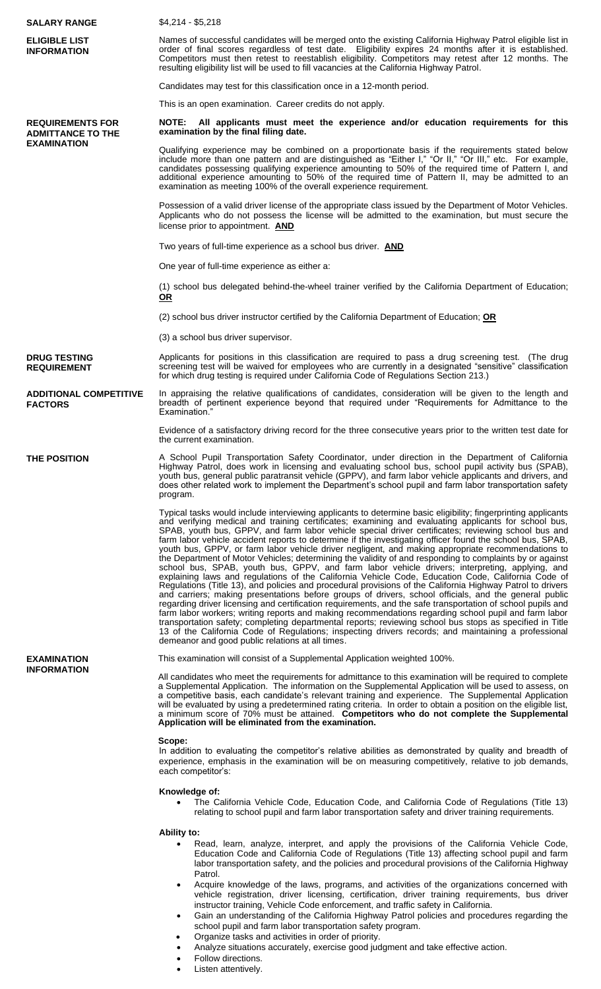| <b>SALARY RANGE</b>                                                       | $$4,214 - $5,218$                                                                                                                                                                                                                                                                                                                                                                                                                                                                                                                                                                                                                                                                                                                                                                                                                                                                                                                                                                                                                                                                                                                                                                                                                                                                                                                                                                                                                                                                                                                                                                         |
|---------------------------------------------------------------------------|-------------------------------------------------------------------------------------------------------------------------------------------------------------------------------------------------------------------------------------------------------------------------------------------------------------------------------------------------------------------------------------------------------------------------------------------------------------------------------------------------------------------------------------------------------------------------------------------------------------------------------------------------------------------------------------------------------------------------------------------------------------------------------------------------------------------------------------------------------------------------------------------------------------------------------------------------------------------------------------------------------------------------------------------------------------------------------------------------------------------------------------------------------------------------------------------------------------------------------------------------------------------------------------------------------------------------------------------------------------------------------------------------------------------------------------------------------------------------------------------------------------------------------------------------------------------------------------------|
| <b>ELIGIBLE LIST</b><br><b>INFORMATION</b>                                | Names of successful candidates will be merged onto the existing California Highway Patrol eligible list in<br>order of final scores regardless of test date. Eligibility expires 24 months after it is established.<br>Competitors must then retest to reestablish eligibility. Competitors may retest after 12 months. The<br>resulting eligibility list will be used to fill vacancies at the California Highway Patrol.                                                                                                                                                                                                                                                                                                                                                                                                                                                                                                                                                                                                                                                                                                                                                                                                                                                                                                                                                                                                                                                                                                                                                                |
|                                                                           | Candidates may test for this classification once in a 12-month period.                                                                                                                                                                                                                                                                                                                                                                                                                                                                                                                                                                                                                                                                                                                                                                                                                                                                                                                                                                                                                                                                                                                                                                                                                                                                                                                                                                                                                                                                                                                    |
|                                                                           | This is an open examination. Career credits do not apply.                                                                                                                                                                                                                                                                                                                                                                                                                                                                                                                                                                                                                                                                                                                                                                                                                                                                                                                                                                                                                                                                                                                                                                                                                                                                                                                                                                                                                                                                                                                                 |
| <b>REQUIREMENTS FOR</b><br><b>ADMITTANCE TO THE</b><br><b>EXAMINATION</b> | NOTE: All applicants must meet the experience and/or education requirements for this<br>examination by the final filing date.                                                                                                                                                                                                                                                                                                                                                                                                                                                                                                                                                                                                                                                                                                                                                                                                                                                                                                                                                                                                                                                                                                                                                                                                                                                                                                                                                                                                                                                             |
|                                                                           | Qualifying experience may be combined on a proportionate basis if the requirements stated below<br>include more than one pattern and are distinguished as "Either I," "Or II," "Or III," etc. For example,<br>candidates possessing qualifying experience amounting to 50% of the required time of Pattern I, and<br>additional experience amounting to 50% of the required time of Pattern II, may be admitted to an<br>examination as meeting 100% of the overall experience requirement.                                                                                                                                                                                                                                                                                                                                                                                                                                                                                                                                                                                                                                                                                                                                                                                                                                                                                                                                                                                                                                                                                               |
|                                                                           | Possession of a valid driver license of the appropriate class issued by the Department of Motor Vehicles.<br>Applicants who do not possess the license will be admitted to the examination, but must secure the<br>license prior to appointment. AND                                                                                                                                                                                                                                                                                                                                                                                                                                                                                                                                                                                                                                                                                                                                                                                                                                                                                                                                                                                                                                                                                                                                                                                                                                                                                                                                      |
|                                                                           | Two years of full-time experience as a school bus driver. <b>AND</b>                                                                                                                                                                                                                                                                                                                                                                                                                                                                                                                                                                                                                                                                                                                                                                                                                                                                                                                                                                                                                                                                                                                                                                                                                                                                                                                                                                                                                                                                                                                      |
|                                                                           | One year of full-time experience as either a:                                                                                                                                                                                                                                                                                                                                                                                                                                                                                                                                                                                                                                                                                                                                                                                                                                                                                                                                                                                                                                                                                                                                                                                                                                                                                                                                                                                                                                                                                                                                             |
|                                                                           | (1) school bus delegated behind-the-wheel trainer verified by the California Department of Education;<br><u>OR</u>                                                                                                                                                                                                                                                                                                                                                                                                                                                                                                                                                                                                                                                                                                                                                                                                                                                                                                                                                                                                                                                                                                                                                                                                                                                                                                                                                                                                                                                                        |
|                                                                           | (2) school bus driver instructor certified by the California Department of Education; OR                                                                                                                                                                                                                                                                                                                                                                                                                                                                                                                                                                                                                                                                                                                                                                                                                                                                                                                                                                                                                                                                                                                                                                                                                                                                                                                                                                                                                                                                                                  |
|                                                                           | (3) a school bus driver supervisor.                                                                                                                                                                                                                                                                                                                                                                                                                                                                                                                                                                                                                                                                                                                                                                                                                                                                                                                                                                                                                                                                                                                                                                                                                                                                                                                                                                                                                                                                                                                                                       |
| <b>DRUG TESTING</b><br><b>REQUIREMENT</b>                                 | Applicants for positions in this classification are required to pass a drug screening test. (The drug<br>screening test will be waived for employees who are currently in a designated "sensitive" classification<br>for which drug testing is required under California Code of Regulations Section 213.)                                                                                                                                                                                                                                                                                                                                                                                                                                                                                                                                                                                                                                                                                                                                                                                                                                                                                                                                                                                                                                                                                                                                                                                                                                                                                |
| <b>ADDITIONAL COMPETITIVE</b><br><b>FACTORS</b>                           | In appraising the relative qualifications of candidates, consideration will be given to the length and<br>breadth of pertinent experience beyond that required under "Requirements for Admittance to the<br>Examination."                                                                                                                                                                                                                                                                                                                                                                                                                                                                                                                                                                                                                                                                                                                                                                                                                                                                                                                                                                                                                                                                                                                                                                                                                                                                                                                                                                 |
|                                                                           | Evidence of a satisfactory driving record for the three consecutive years prior to the written test date for<br>the current examination.                                                                                                                                                                                                                                                                                                                                                                                                                                                                                                                                                                                                                                                                                                                                                                                                                                                                                                                                                                                                                                                                                                                                                                                                                                                                                                                                                                                                                                                  |
| THE POSITION                                                              | A School Pupil Transportation Safety Coordinator, under direction in the Department of California<br>Highway Patrol, does work in licensing and evaluating school bus, school pupil activity bus (SPAB),<br>youth bus, general public paratransit vehicle (GPPV), and farm labor vehicle applicants and drivers, and<br>does other related work to implement the Department's school pupil and farm labor transportation safety<br>program.                                                                                                                                                                                                                                                                                                                                                                                                                                                                                                                                                                                                                                                                                                                                                                                                                                                                                                                                                                                                                                                                                                                                               |
|                                                                           | Typical tasks would include interviewing applicants to determine basic eligibility; fingerprinting applicants<br>and verifying medical and training certificates; examining and evaluating applicants for school bus,<br>SPAB, youth bus, GPPV, and farm labor vehicle special driver certificates; reviewing school bus and<br>farm labor vehicle accident reports to determine if the investigating officer found the school bus, SPAB,<br>youth bus, GPPV, or farm labor vehicle driver negligent, and making appropriate recommendations to<br>the Department of Motor Vehicles; determining the validity of and responding to complaints by or against<br>school bus, SPAB, youth bus, GPPV, and farm labor vehicle drivers; interpreting, applying, and<br>explaining laws and regulations of the California Vehicle Code, Education Code, California Code of<br>Regulations (Title 13), and policies and procedural provisions of the California Highway Patrol to drivers<br>and carriers; making presentations before groups of drivers, school officials, and the general public<br>regarding driver licensing and certification requirements, and the safe transportation of school pupils and<br>farm labor workers; writing reports and making recommendations regarding school pupil and farm labor<br>transportation safety; completing departmental reports; reviewing school bus stops as specified in Title<br>13 of the California Code of Regulations; inspecting drivers records; and maintaining a professional<br>demeanor and good public relations at all times. |
| <b>EXAMINATION</b><br><b>INFORMATION</b>                                  | This examination will consist of a Supplemental Application weighted 100%.                                                                                                                                                                                                                                                                                                                                                                                                                                                                                                                                                                                                                                                                                                                                                                                                                                                                                                                                                                                                                                                                                                                                                                                                                                                                                                                                                                                                                                                                                                                |
|                                                                           | All candidates who meet the requirements for admittance to this examination will be required to complete<br>a Supplemental Application. The information on the Supplemental Application will be used to assess, on<br>a competitive basis, each candidate's relevant training and experience. The Supplemental Application<br>will be evaluated by using a predetermined rating criteria. In order to obtain a position on the eligible list,<br>a minimum score of 70% must be attained. Competitors who do not complete the Supplemental<br>Application will be eliminated from the examination.                                                                                                                                                                                                                                                                                                                                                                                                                                                                                                                                                                                                                                                                                                                                                                                                                                                                                                                                                                                        |
|                                                                           | Scope:<br>In addition to evaluating the competitor's relative abilities as demonstrated by quality and breadth of<br>experience, emphasis in the examination will be on measuring competitively, relative to job demands,<br>each competitor's:                                                                                                                                                                                                                                                                                                                                                                                                                                                                                                                                                                                                                                                                                                                                                                                                                                                                                                                                                                                                                                                                                                                                                                                                                                                                                                                                           |
|                                                                           | Knowledge of:<br>The California Vehicle Code, Education Code, and California Code of Regulations (Title 13)<br>relating to school pupil and farm labor transportation safety and driver training requirements.                                                                                                                                                                                                                                                                                                                                                                                                                                                                                                                                                                                                                                                                                                                                                                                                                                                                                                                                                                                                                                                                                                                                                                                                                                                                                                                                                                            |
|                                                                           | <b>Ability to:</b><br>Read, learn, analyze, interpret, and apply the provisions of the California Vehicle Code,<br>Education Code and California Code of Regulations (Title 13) affecting school pupil and farm<br>labor transportation safety, and the policies and procedural provisions of the California Highway<br>Patrol.<br>Acquire knowledge of the laws, programs, and activities of the organizations concerned with<br>vehicle registration, driver licensing, certification, driver training requirements, bus driver<br>instructor training, Vehicle Code enforcement, and traffic safety in California.<br>Gain an understanding of the California Highway Patrol policies and procedures regarding the                                                                                                                                                                                                                                                                                                                                                                                                                                                                                                                                                                                                                                                                                                                                                                                                                                                                     |

<sup>•</sup> Gain an understanding of the California Highway Patrol policies and procedures regarding the school pupil and farm labor transportation safety program.

- Organize tasks and activities in order of priority.
- Analyze situations accurately, exercise good judgment and take effective action.
- Follow directions.
- Listen attentively.